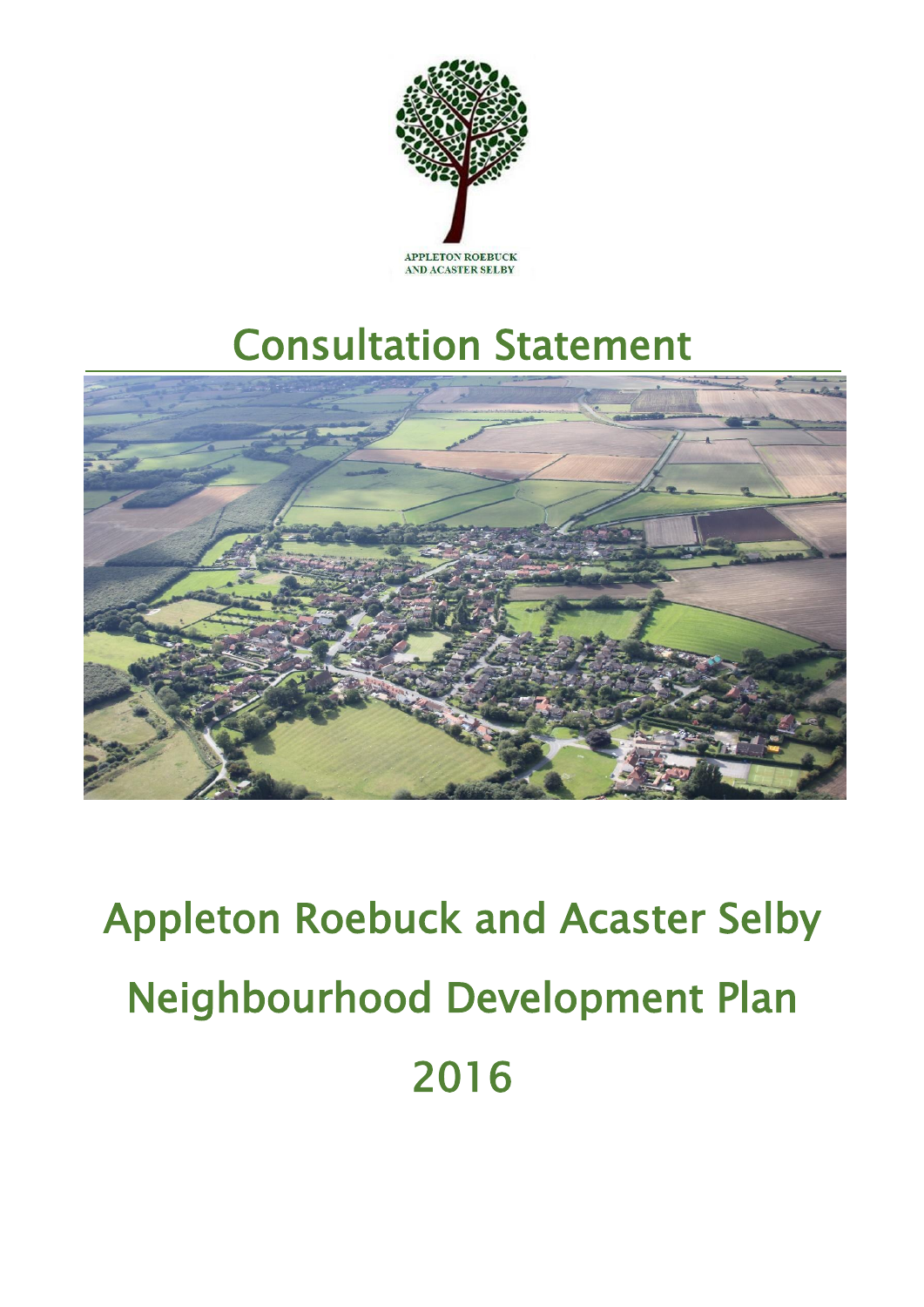

## Consultation Statement



# Appleton Roebuck and Acaster Selby Neighbourhood Development Plan 2016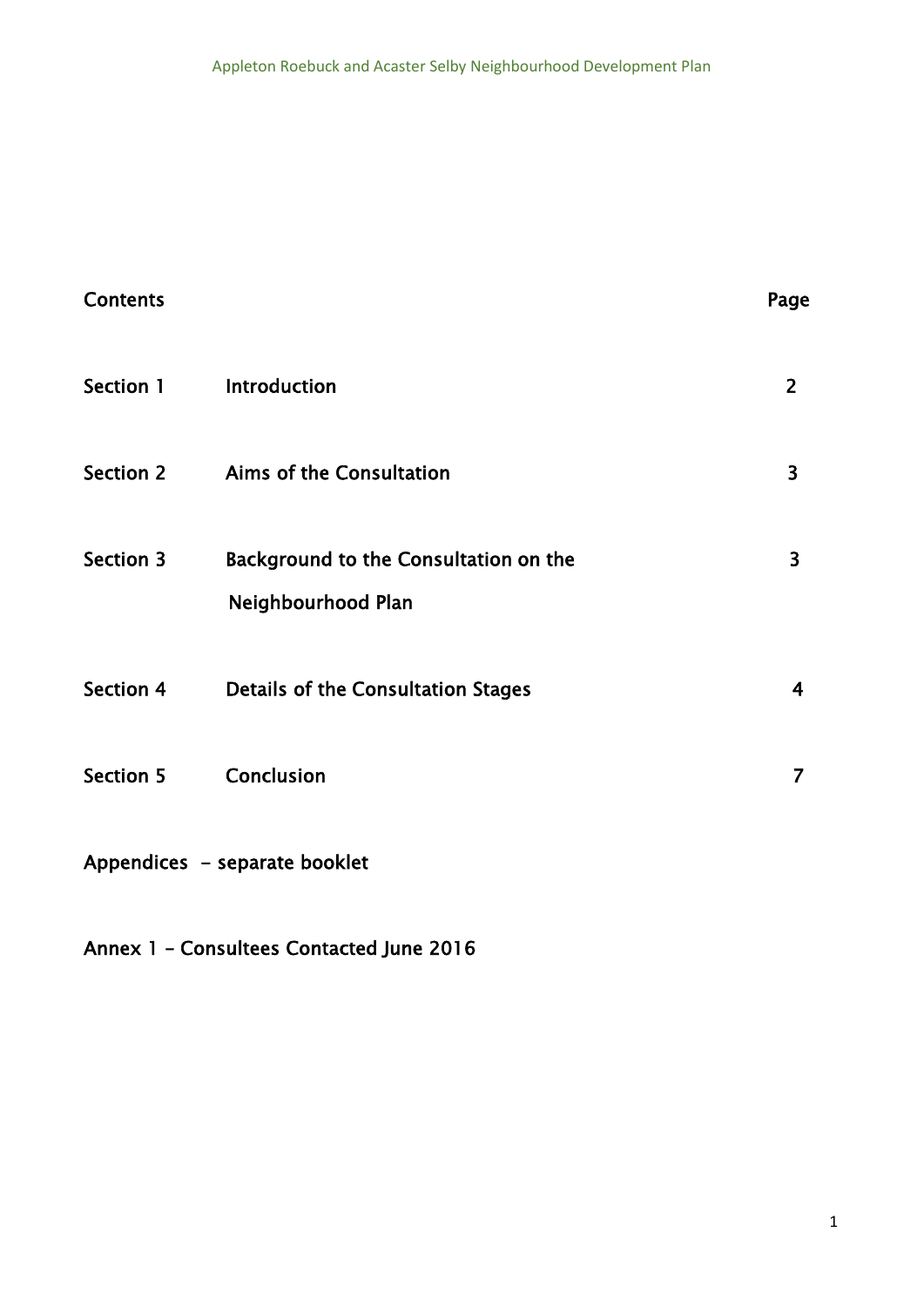| <b>Contents</b>               |                                                             | Page           |
|-------------------------------|-------------------------------------------------------------|----------------|
| Section 1                     | Introduction                                                | $\overline{2}$ |
| <b>Section 2</b>              | Aims of the Consultation                                    | 3              |
| <b>Section 3</b>              | Background to the Consultation on the<br>Neighbourhood Plan | 3              |
| Section 4                     | <b>Details of the Consultation Stages</b>                   | 4              |
| <b>Section 5</b>              | Conclusion                                                  | 7              |
| Appendices - separate booklet |                                                             |                |

Annex 1 – Consultees Contacted June 2016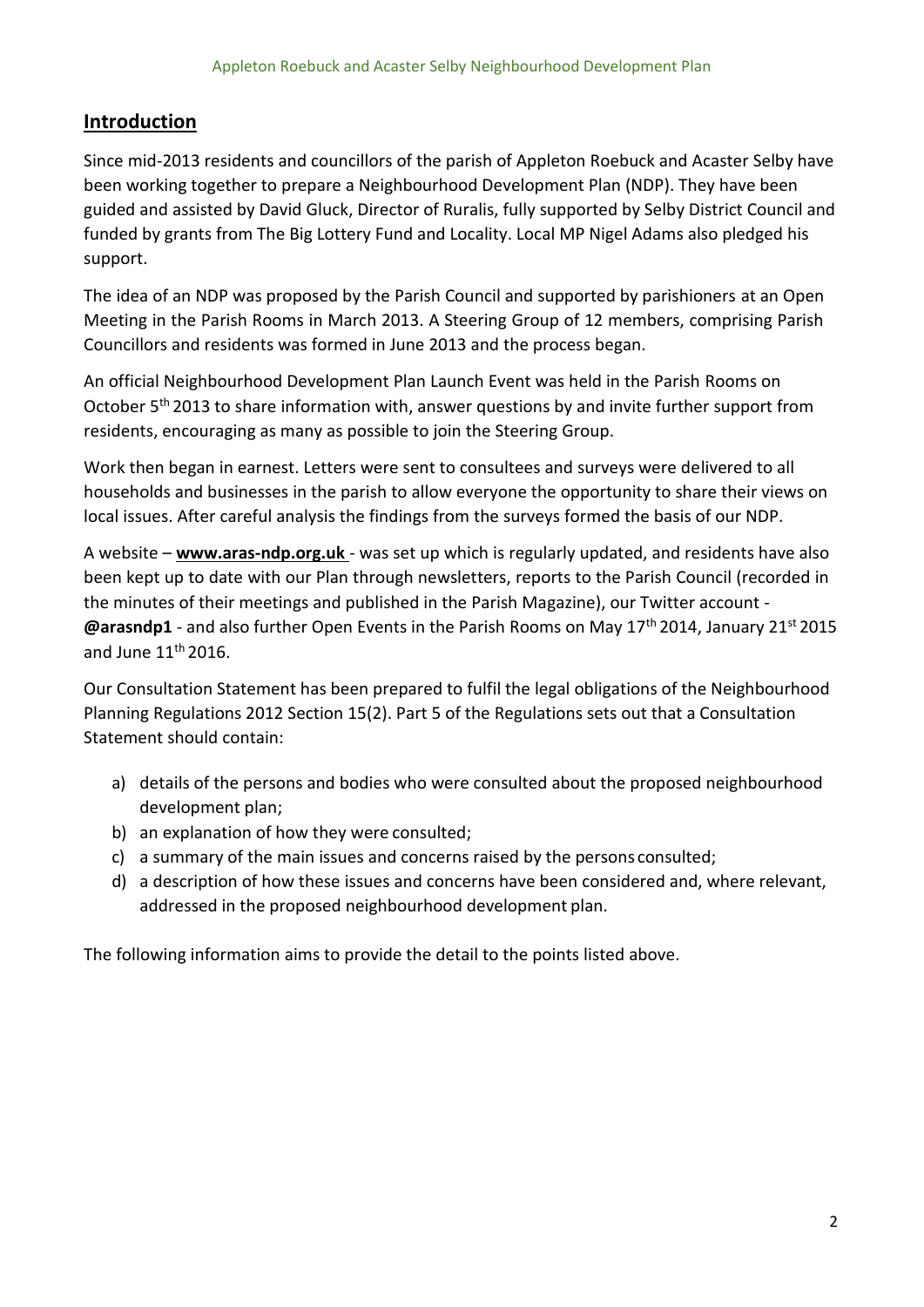#### **Introduction**

Since mid-2013 residents and councillors of the parish of Appleton Roebuck and Acaster Selby have been working together to prepare a Neighbourhood Development Plan (NDP). They have been guided and assisted by David Gluck, Director of Ruralis, fully supported by Selby District Council and funded by grants from The Big Lottery Fund and Locality. Local MP Nigel Adams also pledged his support.

The idea of an NDP was proposed by the Parish Council and supported by parishioners at an Open Meeting in the Parish Rooms in March 2013. A Steering Group of 12 members, comprising Parish Councillors and residents was formed in June 2013 and the process began.

An official Neighbourhood Development Plan Launch Event was held in the Parish Rooms on October 5<sup>th</sup> 2013 to share information with, answer questions by and invite further support from residents, encouraging as many as possible to join the Steering Group.

Work then began in earnest. Letters were sent to consultees and surveys were delivered to all households and businesses in the parish to allow everyone the opportunity to share their views on local issues. After careful analysis the findings from the surveys formed the basis of our NDP.

A website – **[www.aras-ndp.org.uk](http://www.aras-ndp.org.uk/)** - was set up which is regularly updated, and residents have also been kept up to date with our Plan through newsletters, reports to the Parish Council (recorded in the minutes of their meetings and published in the Parish Magazine), our Twitter account - **@arasndp1** - and also further Open Events in the Parish Rooms on May 17<sup>th</sup> 2014, January 21<sup>st</sup> 2015 and June  $11<sup>th</sup> 2016$ .

Our Consultation Statement has been prepared to fulfil the legal obligations of the Neighbourhood Planning Regulations 2012 Section 15(2). Part 5 of the Regulations sets out that a Consultation Statement should contain:

- a) details of the persons and bodies who were consulted about the proposed neighbourhood development plan;
- b) an explanation of how they were consulted;
- c) a summary of the main issues and concerns raised by the persons consulted;
- d) a description of how these issues and concerns have been considered and, where relevant, addressed in the proposed neighbourhood development plan.

The following information aims to provide the detail to the points listed above.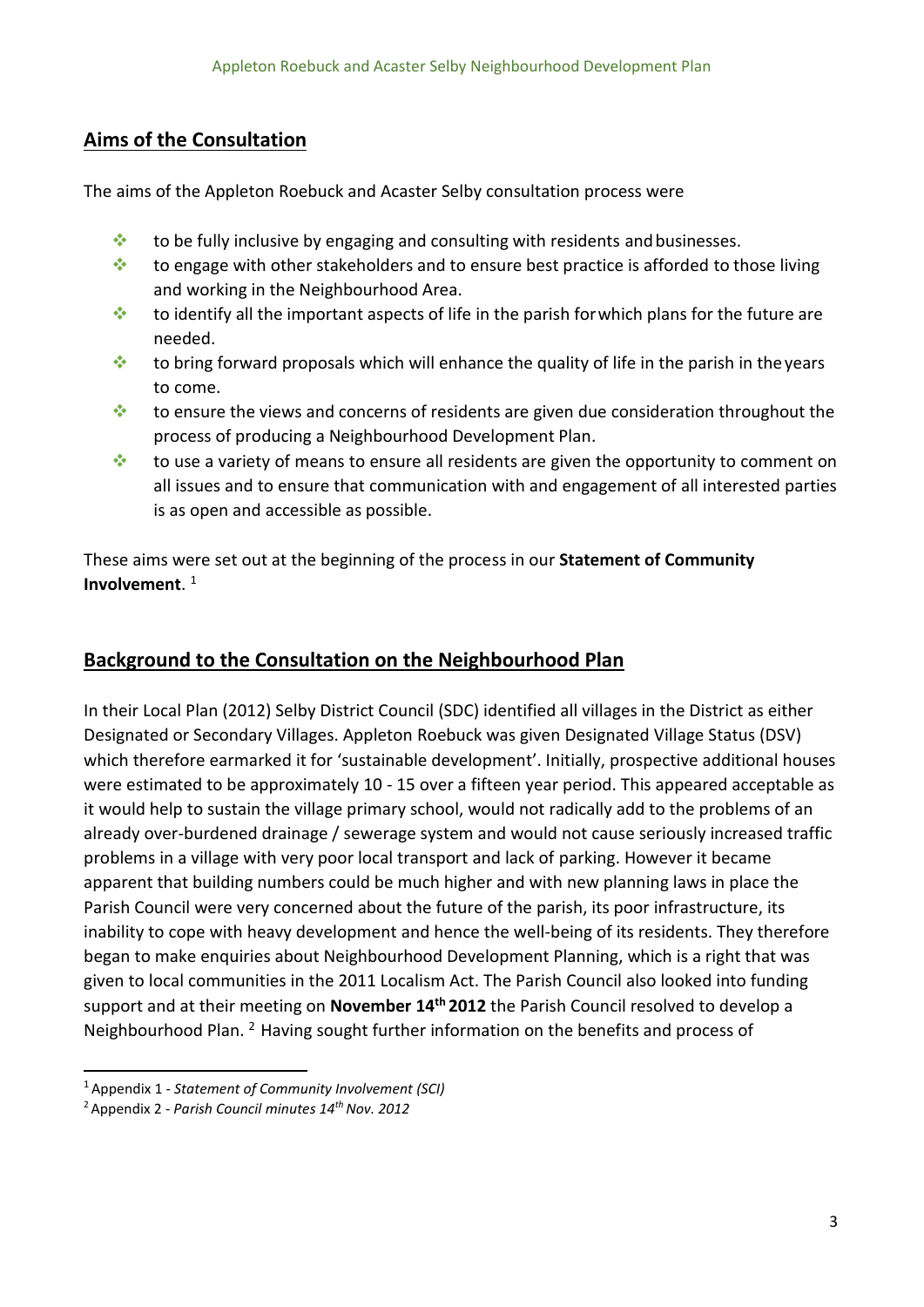#### **Aims of the Consultation**

The aims of the Appleton Roebuck and Acaster Selby consultation process were

- $\cdot$  to be fully inclusive by engaging and consulting with residents and businesses.
- to engage with other stakeholders and to ensure best practice is afforded to those living and working in the Neighbourhood Area.
- $\cdot$  to identify all the important aspects of life in the parish for which plans for the future are needed.
- to bring forward proposals which will enhance the quality of life in the parish in the years to come.
- $\cdot$  to ensure the views and concerns of residents are given due consideration throughout the process of producing a Neighbourhood Development Plan.
- to use a variety of means to ensure all residents are given the opportunity to comment on all issues and to ensure that communication with and engagement of all interested parties is as open and accessible as possible.

These aims were set out at the beginning of the process in our **Statement of Community Involvement**. 1

### **Background to the Consultation on the Neighbourhood Plan**

In their Local Plan (2012) Selby District Council (SDC) identified all villages in the District as either Designated or Secondary Villages. Appleton Roebuck was given Designated Village Status (DSV) which therefore earmarked it for 'sustainable development'. Initially, prospective additional houses were estimated to be approximately 10 - 15 over a fifteen year period. This appeared acceptable as it would help to sustain the village primary school, would not radically add to the problems of an already over-burdened drainage / sewerage system and would not cause seriously increased traffic problems in a village with very poor local transport and lack of parking. However it became apparent that building numbers could be much higher and with new planning laws in place the Parish Council were very concerned about the future of the parish, its poor infrastructure, its inability to cope with heavy development and hence the well-being of its residents. They therefore began to make enquiries about Neighbourhood Development Planning, which is a right that was given to local communities in the 2011 Localism Act. The Parish Council also looked into funding support and at their meeting on **November 14th 2012** the Parish Council resolved to develop a Neighbourhood Plan. <sup>2</sup> Having sought further information on the benefits and process of

<sup>1</sup>Appendix 1 - *Statement of Community Involvement (SCI)*

<sup>2</sup>Appendix 2 - *Parish Council minutes 14th Nov. 2012*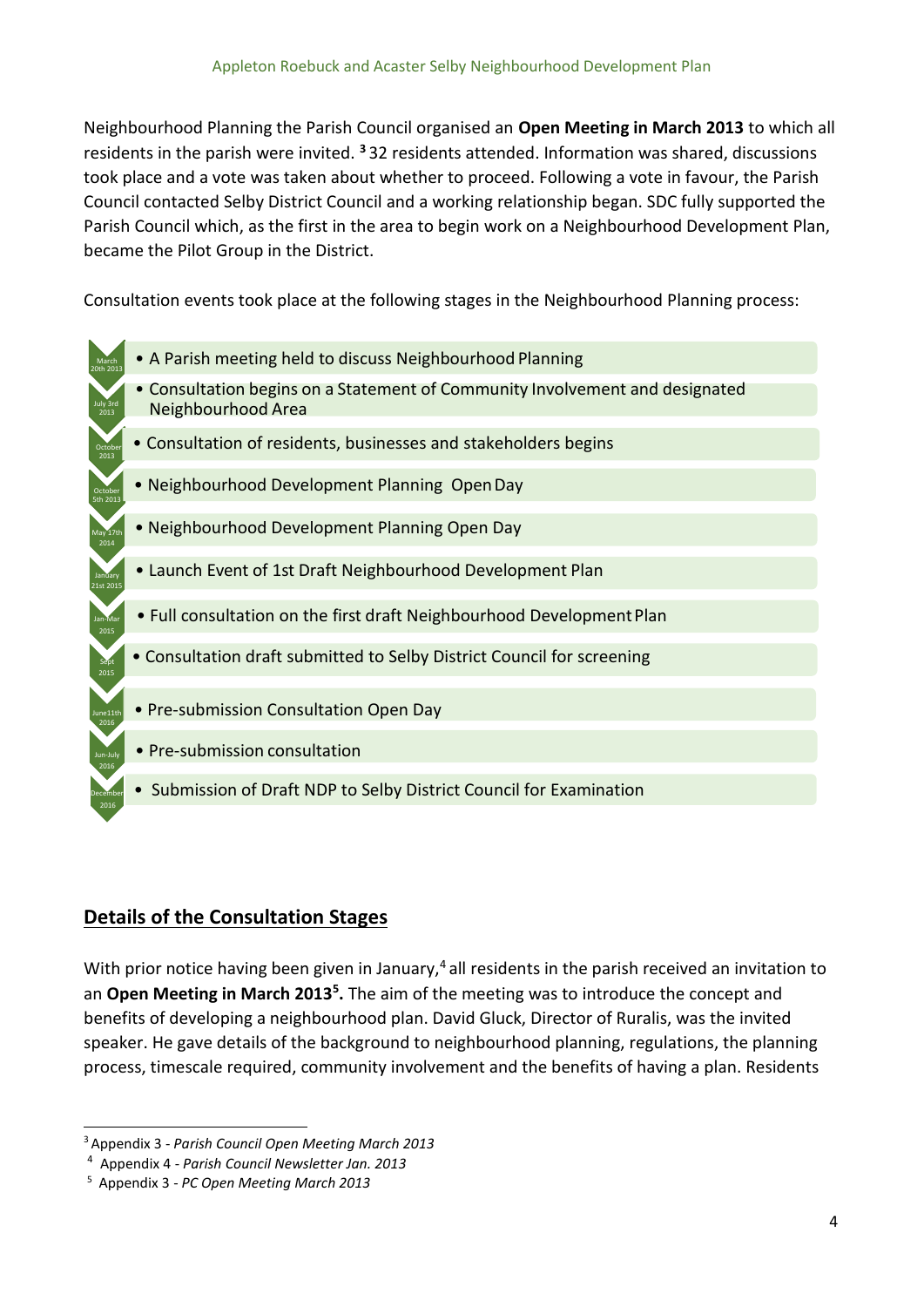Neighbourhood Planning the Parish Council organised an **Open Meeting in March 2013** to which all residents in the parish were invited. **<sup>3</sup>**32 residents attended. Information was shared, discussions took place and a vote was taken about whether to proceed. Following a vote in favour, the Parish Council contacted Selby District Council and a working relationship began. SDC fully supported the Parish Council which, as the first in the area to begin work on a Neighbourhood Development Plan, became the Pilot Group in the District.

Consultation events took place at the following stages in the Neighbourhood Planning process:

- 20th 2013 • A Parish meeting held to discuss Neighbourhood Planning
	- Consultation begins on a Statement of Community Involvement and designated Neighbourhood Area
	- Consultation of residents, businesses and stakeholders begins
	- Neighbourhood Development Planning OpenDay
	- Neighbourhood Development Planning Open Day
	- Launch Event of 1st Draft Neighbourhood Development Plan
	- Full consultation on the first draft Neighbourhood Development Plan
	- Consultation draft submitted to Selby District Council for screening
	- Pre-submission Consultation Open Day
	- Pre-submission consultation

March

July 3rd 2013

October 2013

October 5th 2013

2014

21st 2015

2015

2015

2016

2016

2016

• Submission of Draft NDP to Selby District Council for Examination

#### **Details of the Consultation Stages**

With prior notice having been given in January,<sup>4</sup> all residents in the parish received an invitation to an Open Meeting in March 2013<sup>5</sup>. The aim of the meeting was to introduce the concept and benefits of developing a neighbourhood plan. David Gluck, Director of Ruralis, was the invited speaker. He gave details of the background to neighbourhood planning, regulations, the planning process, timescale required, community involvement and the benefits of having a plan. Residents

<sup>3</sup>Appendix 3 - *Parish Council Open Meeting March 2013*

<sup>4</sup>Appendix 4 - *Parish Council Newsletter Jan. 2013*

<sup>&</sup>lt;sup>5</sup> Appendix 3 - *PC Open Meeting March 2013*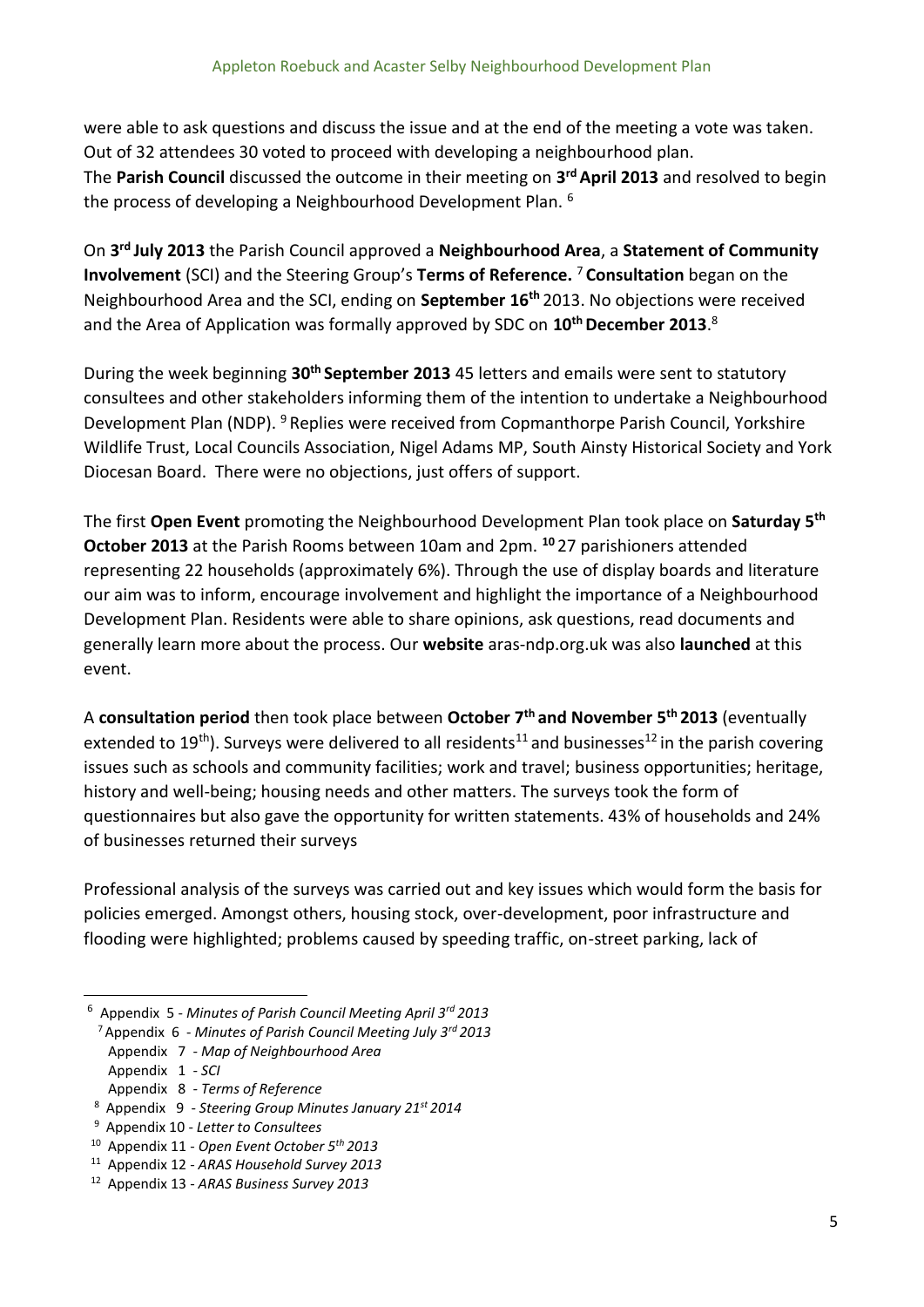were able to ask questions and discuss the issue and at the end of the meeting a vote was taken. Out of 32 attendees 30 voted to proceed with developing a neighbourhood plan. The **Parish Council** discussed the outcome in their meeting on **3 rd April 2013** and resolved to begin the process of developing a Neighbourhood Development Plan. <sup>6</sup>

On **3 rd July 2013** the Parish Council approved a **Neighbourhood Area**, a **Statement of Community Involvement** (SCI) and the Steering Group's **Terms of Reference.** <sup>7</sup>**Consultation** began on the Neighbourhood Area and the SCI, ending on **September 16th** 2013. No objections were received and the Area of Application was formally approved by SDC on **10th December 2013**. 8

During the week beginning **30th September 2013** 45 letters and emails were sent to statutory consultees and other stakeholders informing them of the intention to undertake a Neighbourhood Development Plan (NDP). <sup>9</sup> Replies were received from Copmanthorpe Parish Council, Yorkshire Wildlife Trust, Local Councils Association, Nigel Adams MP, South Ainsty Historical Society and York Diocesan Board. There were no objections, just offers of support.

The first **Open Event** promoting the Neighbourhood Development Plan took place on **Saturday 5th October 2013** at the Parish Rooms between 10am and 2pm. **<sup>10</sup>**27 parishioners attended representing 22 households (approximately 6%). Through the use of display boards and literature our aim was to inform, encourage involvement and highlight the importance of a Neighbourhood Development Plan. Residents were able to share opinions, ask questions, read documents and generally learn more about the process. Our **website** aras-ndp.org.uk was also **launched** at this event.

A **consultation period** then took place between **October 7th and November 5th 2013** (eventually extended to 19<sup>th</sup>). Surveys were delivered to all residents<sup>11</sup> and businesses<sup>12</sup> in the parish covering issues such as schools and community facilities; work and travel; business opportunities; heritage, history and well-being; housing needs and other matters. The surveys took the form of questionnaires but also gave the opportunity for written statements. 43% of households and 24% of businesses returned their surveys

Professional analysis of the surveys was carried out and key issues which would form the basis for policies emerged. Amongst others, housing stock, over-development, poor infrastructure and flooding were highlighted; problems caused by speeding traffic, on-street parking, lack of

- <sup>7</sup>Appendix 6 *Minutes of Parish Council Meeting July 3rd 2013*
- Appendix 7 *- Map of Neighbourhood Area*
- Appendix 1 *- SCI*
- Appendix 8 *- Terms of Reference*
- <sup>8</sup>Appendix 9 *Steering Group Minutes January 21st 2014*
- <sup>9</sup>Appendix 10 *Letter to Consultees*
- <sup>10</sup>Appendix 11 *Open Event October 5th 2013*
- <sup>11</sup>Appendix 12 *ARAS Household Survey 2013*
- <sup>12</sup> Appendix 13 ARAS Business Survey 2013

<sup>6</sup>Appendix 5 - *Minutes of Parish Council Meeting April 3rd 2013*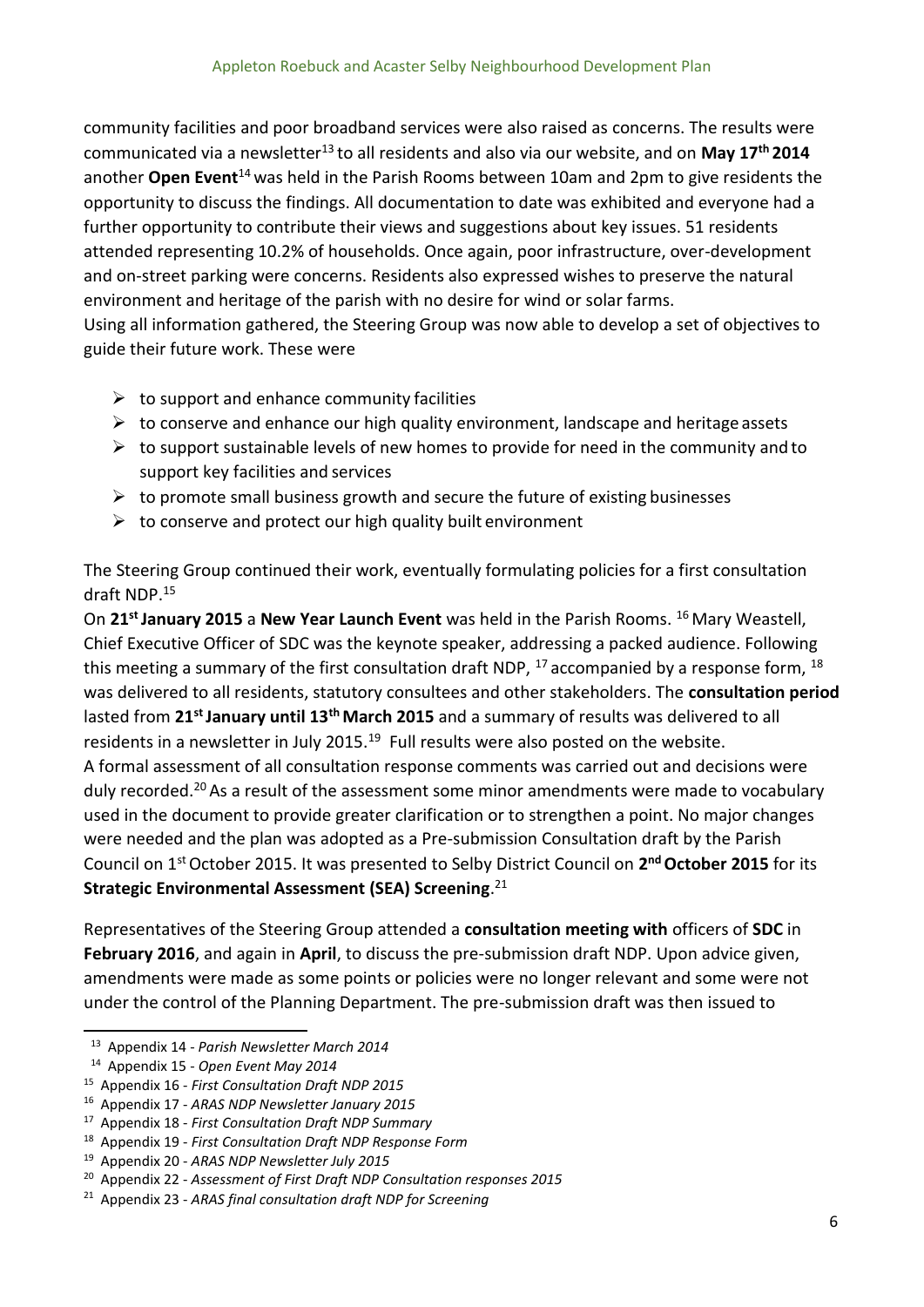community facilities and poor broadband services were also raised as concerns. The results were communicated via a newsletter<sup>13</sup>to all residents and also via our website, and on **May 17th 2014**  another **Open Event**<sup>14</sup>was held in the Parish Rooms between 10am and 2pm to give residents the opportunity to discuss the findings. All documentation to date was exhibited and everyone had a further opportunity to contribute their views and suggestions about key issues. 51 residents attended representing 10.2% of households. Once again, poor infrastructure, over-development and on-street parking were concerns. Residents also expressed wishes to preserve the natural environment and heritage of the parish with no desire for wind or solar farms. Using all information gathered, the Steering Group was now able to develop a set of objectives to guide their future work. These were

- $\triangleright$  to support and enhance community facilities
- $\triangleright$  to conserve and enhance our high quality environment, landscape and heritage assets
- $\triangleright$  to support sustainable levels of new homes to provide for need in the community and to support key facilities and services
- $\triangleright$  to promote small business growth and secure the future of existing businesses
- $\triangleright$  to conserve and protect our high quality built environment

The Steering Group continued their work, eventually formulating policies for a first consultation draft NDP.<sup>15</sup>

On 21<sup>st</sup> January 2015 a New Year Launch Event was held in the Parish Rooms. <sup>16</sup> Mary Weastell, Chief Executive Officer of SDC was the keynote speaker, addressing a packed audience. Following this meeting a summary of the first consultation draft NDP,  $^{17}$  accompanied by a response form,  $^{18}$ was delivered to all residents, statutory consultees and other stakeholders. The **consultation period**  lasted from **21st January until 13th March 2015** and a summary of results was delivered to all residents in a newsletter in July 2015.<sup>19</sup> Full results were also posted on the website. A formal assessment of all consultation response comments was carried out and decisions were duly recorded.<sup>20</sup> As a result of the assessment some minor amendments were made to vocabulary used in the document to provide greater clarification or to strengthen a point. No major changes were needed and the plan was adopted as a Pre-submission Consultation draft by the Parish Council on 1st October 2015. It was presented to Selby District Council on **2 nd October 2015** for its **Strategic Environmental Assessment (SEA) Screening**. 21

Representatives of the Steering Group attended a **consultation meeting with** officers of **SDC** in **February 2016**, and again in **April**, to discuss the pre-submission draft NDP. Upon advice given, amendments were made as some points or policies were no longer relevant and some were not under the control of the Planning Department. The pre-submission draft was then issued to

<sup>&</sup>lt;sup>13</sup> Appendix 14 - *Parish Newsletter March 2014* 

<sup>&</sup>lt;sup>14</sup> Appendix 15 - Open Event May 2014

<sup>&</sup>lt;sup>15</sup> Appendix 16 - *First Consultation Draft NDP 2015* 

<sup>&</sup>lt;sup>16</sup> Appendix 17 - ARAS NDP Newsletter January 2015

<sup>&</sup>lt;sup>17</sup> Appendix 18 - *First Consultation Draft NDP Summary* 

<sup>&</sup>lt;sup>18</sup> Appendix 19 - *First Consultation Draft NDP Response Form* 

<sup>&</sup>lt;sup>19</sup> Appendix 20 - ARAS NDP Newsletter July 2015

<sup>20</sup>Appendix 22 - *Assessment of First Draft NDP Consultation responses 2015*

<sup>&</sup>lt;sup>21</sup> Appendix 23 - ARAS final consultation draft NDP for Screening